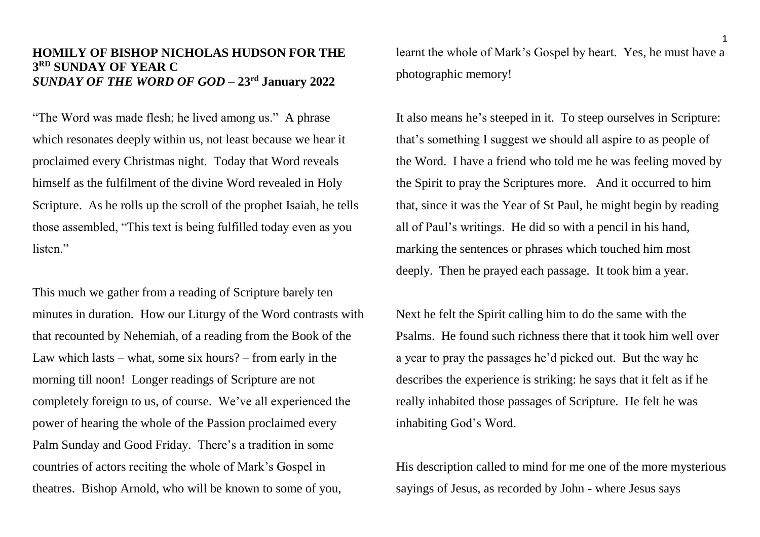## **HOMILY OF BISHOP NICHOLAS HUDSON FOR THE 3 RD SUNDAY OF YEAR C** *SUNDAY OF THE WORD OF GOD* **– 23rd January 2022**

"The Word was made flesh; he lived among us." A phrase which resonates deeply within us, not least because we hear it proclaimed every Christmas night. Today that Word reveals himself as the fulfilment of the divine Word revealed in Holy Scripture. As he rolls up the scroll of the prophet Isaiah, he tells those assembled, "This text is being fulfilled today even as you listen."

This much we gather from a reading of Scripture barely ten minutes in duration. How our Liturgy of the Word contrasts with that recounted by Nehemiah, of a reading from the Book of the Law which lasts – what, some six hours? – from early in the morning till noon! Longer readings of Scripture are not completely foreign to us, of course. We've all experienced the power of hearing the whole of the Passion proclaimed every Palm Sunday and Good Friday. There's a tradition in some countries of actors reciting the whole of Mark's Gospel in theatres. Bishop Arnold, who will be known to some of you,

learnt the whole of Mark's Gospel by heart. Yes, he must have a photographic memory!

It also means he's steeped in it. To steep ourselves in Scripture: that's something I suggest we should all aspire to as people of the Word. I have a friend who told me he was feeling moved by the Spirit to pray the Scriptures more. And it occurred to him that, since it was the Year of St Paul, he might begin by reading all of Paul's writings. He did so with a pencil in his hand, marking the sentences or phrases which touched him most deeply. Then he prayed each passage. It took him a year.

Next he felt the Spirit calling him to do the same with the Psalms. He found such richness there that it took him well over a year to pray the passages he'd picked out. But the way he describes the experience is striking: he says that it felt as if he really inhabited those passages of Scripture. He felt he was inhabiting God's Word.

His description called to mind for me one of the more mysterious sayings of Jesus, as recorded by John - where Jesus says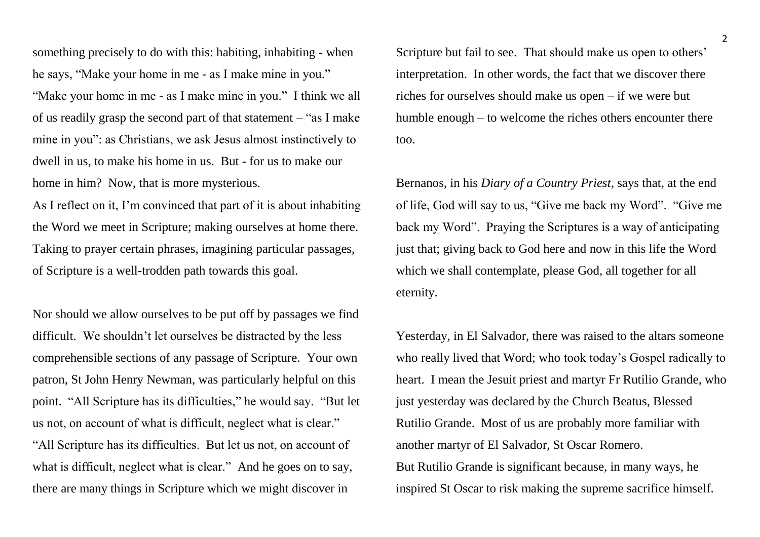something precisely to do with this: habiting, inhabiting - when he says, "Make your home in me - as I make mine in you." "Make your home in me - as I make mine in you." I think we all of us readily grasp the second part of that statement – "as I make mine in you": as Christians, we ask Jesus almost instinctively to dwell in us, to make his home in us. But - for us to make our home in him? Now, that is more mysterious.

As I reflect on it, I'm convinced that part of it is about inhabiting the Word we meet in Scripture; making ourselves at home there. Taking to prayer certain phrases, imagining particular passages, of Scripture is a well-trodden path towards this goal.

Nor should we allow ourselves to be put off by passages we find difficult. We shouldn't let ourselves be distracted by the less comprehensible sections of any passage of Scripture. Your own patron, St John Henry Newman, was particularly helpful on this point. "All Scripture has its difficulties," he would say. "But let us not, on account of what is difficult, neglect what is clear." "All Scripture has its difficulties. But let us not, on account of what is difficult, neglect what is clear." And he goes on to say, there are many things in Scripture which we might discover in

Scripture but fail to see. That should make us open to others' interpretation. In other words, the fact that we discover there riches for ourselves should make us open – if we were but humble enough – to welcome the riches others encounter there too.

Bernanos, in his *Diary of a Country Priest*, says that, at the end of life, God will say to us, "Give me back my Word". "Give me back my Word". Praying the Scriptures is a way of anticipating just that; giving back to God here and now in this life the Word which we shall contemplate, please God, all together for all eternity.

Yesterday, in El Salvador, there was raised to the altars someone who really lived that Word; who took today's Gospel radically to heart. I mean the Jesuit priest and martyr Fr Rutilio Grande, who just yesterday was declared by the Church Beatus, Blessed Rutilio Grande. Most of us are probably more familiar with another martyr of El Salvador, St Oscar Romero. But Rutilio Grande is significant because, in many ways, he inspired St Oscar to risk making the supreme sacrifice himself.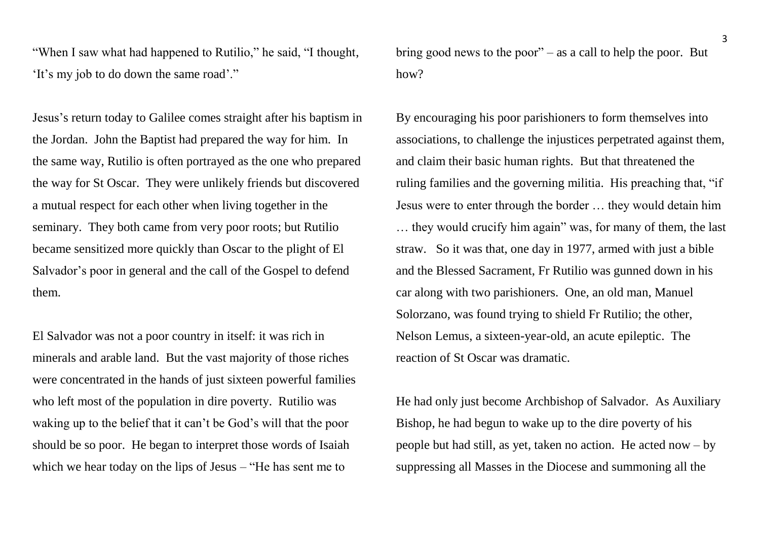"When I saw what had happened to Rutilio," he said, "I thought, 'It's my job to do down the same road'."

Jesus's return today to Galilee comes straight after his baptism in the Jordan. John the Baptist had prepared the way for him. In the same way, Rutilio is often portrayed as the one who prepared the way for St Oscar. They were unlikely friends but discovered a mutual respect for each other when living together in the seminary. They both came from very poor roots; but Rutilio became sensitized more quickly than Oscar to the plight of El Salvador's poor in general and the call of the Gospel to defend them.

El Salvador was not a poor country in itself: it was rich in minerals and arable land. But the vast majority of those riches were concentrated in the hands of just sixteen powerful families who left most of the population in dire poverty. Rutilio was waking up to the belief that it can't be God's will that the poor should be so poor. He began to interpret those words of Isaiah which we hear today on the lips of Jesus – "He has sent me to

bring good news to the poor" – as a call to help the poor. But how?

By encouraging his poor parishioners to form themselves into associations, to challenge the injustices perpetrated against them, and claim their basic human rights. But that threatened the ruling families and the governing militia. His preaching that, "if Jesus were to enter through the border … they would detain him … they would crucify him again" was, for many of them, the last straw. So it was that, one day in 1977, armed with just a bible and the Blessed Sacrament, Fr Rutilio was gunned down in his car along with two parishioners. One, an old man, Manuel Solorzano, was found trying to shield Fr Rutilio; the other, Nelson Lemus, a sixteen-year-old, an acute epileptic. The reaction of St Oscar was dramatic.

He had only just become Archbishop of Salvador. As Auxiliary Bishop, he had begun to wake up to the dire poverty of his people but had still, as yet, taken no action. He acted now – by suppressing all Masses in the Diocese and summoning all the